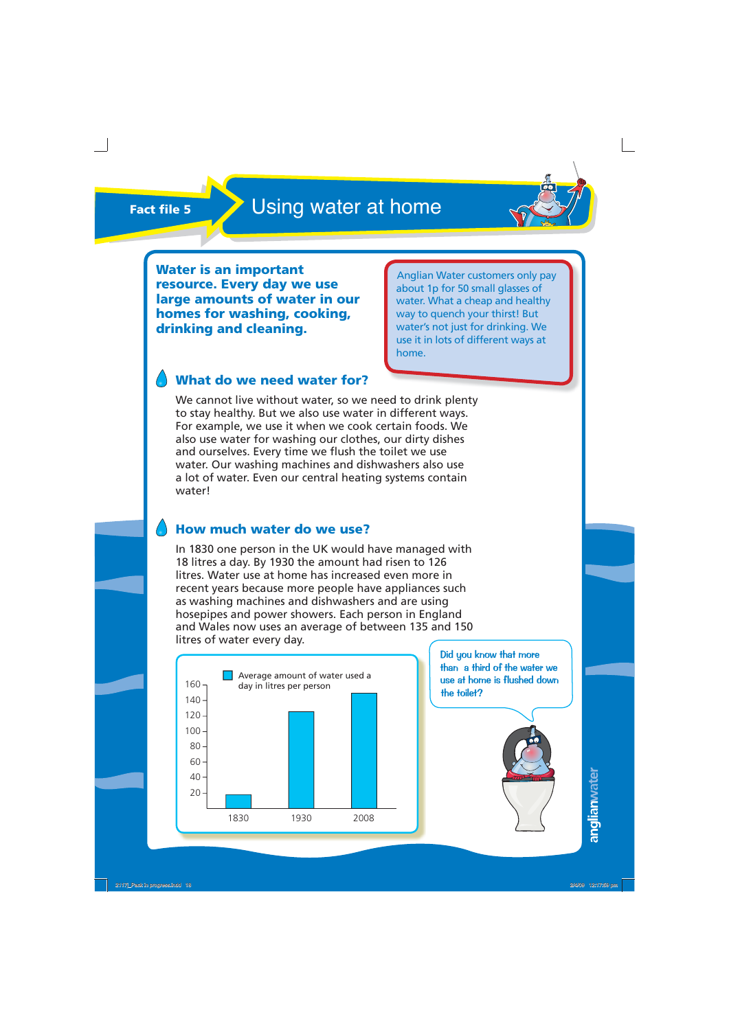

**Water is an important resource. Every day we use large amounts of water in our homes for washing, cooking, drinking and cleaning.**

Anglian Water customers only pay about 1p for 50 small glasses of water. What a cheap and healthy way to quench your thirst! But water's not just for drinking. We use it in lots of different ways at home.

## **What do we need water for?**

We cannot live without water, so we need to drink plenty to stay healthy. But we also use water in different ways. For example, we use it when we cook certain foods. We also use water for washing our clothes, our dirty dishes and ourselves. Every time we flush the toilet we use water. Our washing machines and dishwashers also use a lot of water. Even our central heating systems contain water!

### **How much water do we use?**

In 1830 one person in the UK would have managed with 18 litres a day. By 1930 the amount had risen to 126 litres. Water use at home has increased even more in recent years because more people have appliances such as washing machines and dishwashers and are using hosepipes and power showers. Each person in England and Wales now uses an average of between 135 and 150 litres of water every day.



Did you know that more than a third of the water we use at home is flushed down the toilet?

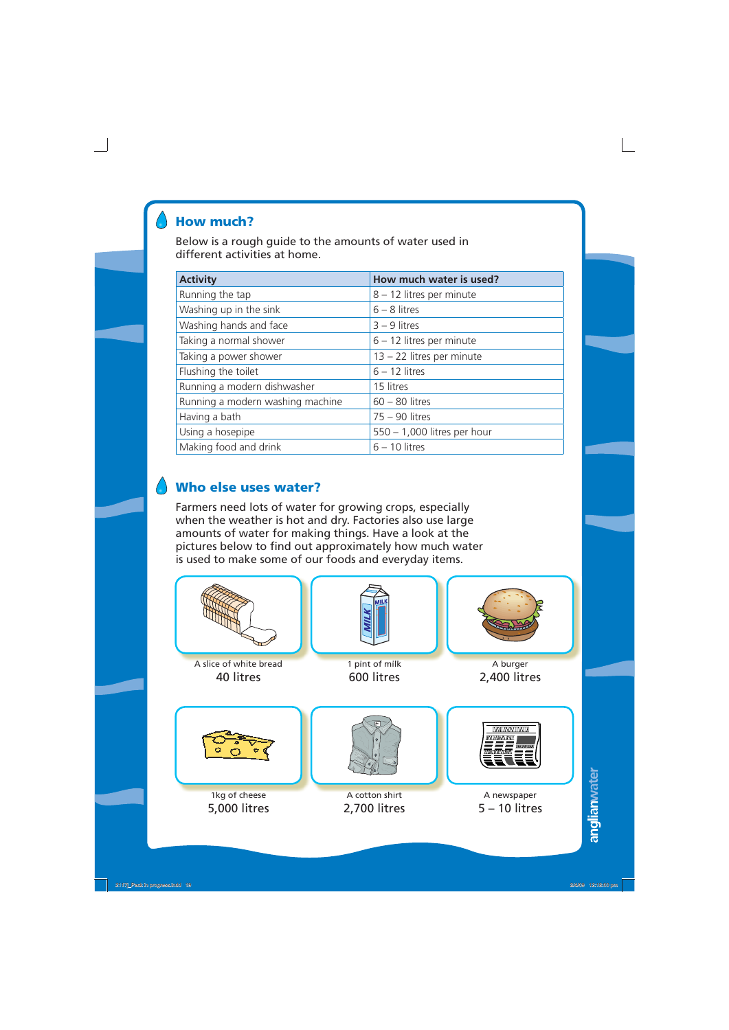## **How much?**

Below is a rough guide to the amounts of water used in different activities at home.

| <b>Activity</b>                  | How much water is used?     |
|----------------------------------|-----------------------------|
| Running the tap                  | 8 - 12 litres per minute    |
| Washing up in the sink           | $6 - 8$ litres              |
| Washing hands and face           | $3 - 9$ litres              |
| Taking a normal shower           | $6 - 12$ litres per minute  |
| Taking a power shower            | 13 - 22 litres per minute   |
| Flushing the toilet              | $6 - 12$ litres             |
| Running a modern dishwasher      | 15 litres                   |
| Running a modern washing machine | $60 - 80$ litres            |
| Having a bath                    | $75 - 90$ litres            |
| Using a hosepipe                 | 550 - 1,000 litres per hour |
| Making food and drink            | $6 - 10$ litres             |

## **Who else uses water?**

Farmers need lots of water for growing crops, especially when the weather is hot and dry. Factories also use large amounts of water for making things. Have a look at the pictures below to find out approximately how much water is used to make some of our foods and everyday items.



anglianwater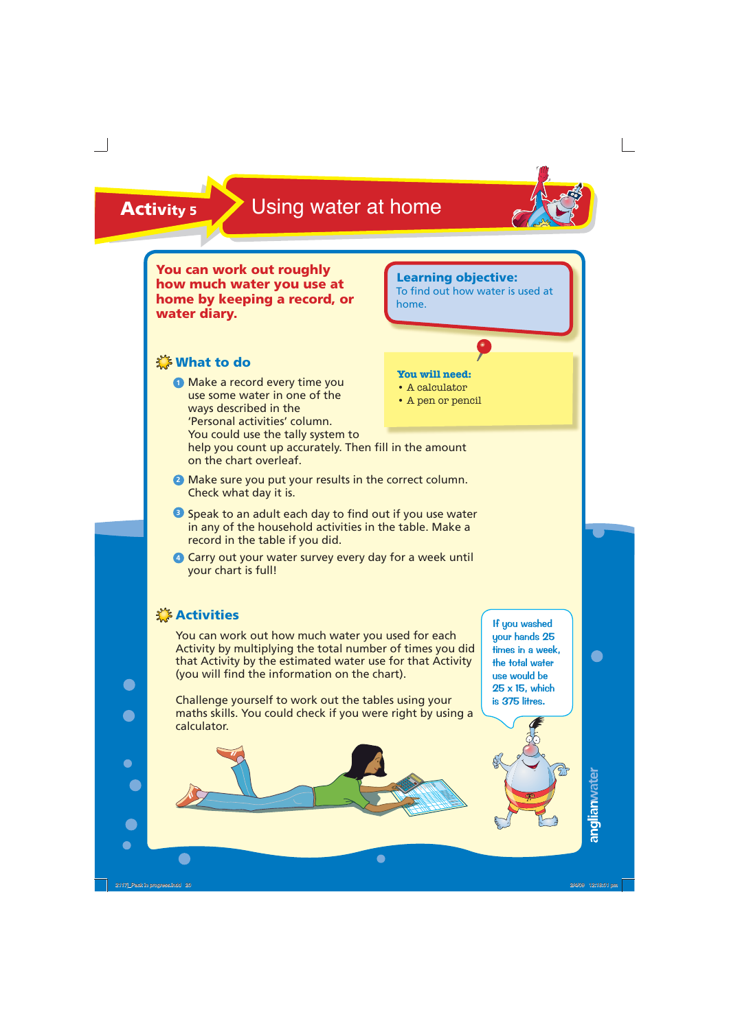

**You can work out roughly how much water you use at home by keeping a record, or water diary.** 

## **XXX What to do**

**<sup>1</sup>** Make a record every time you use some water in one of the ways described in the 'Personal activities' column. You could use the tally system to

## **Learning objective:**

To find out how water is used at home.

### **You will need:**

- A calculator
- A pen or pencil

help you count up accurately. Then fill in the amount on the chart overleaf.

- **<sup>2</sup>** Make sure you put your results in the correct column. Check what day it is.
- **3** Speak to an adult each day to find out if you use water in any of the household activities in the table. Make a record in the table if you did.
- **<sup>4</sup>** Carry out your water survey every day for a week until your chart is full!

## **Activities**

 $\bullet$ 

You can work out how much water you used for each Activity by multiplying the total number of times you did that Activity by the estimated water use for that Activity (you will find the information on the chart).

Challenge yourself to work out the tables using your maths skills. You could check if you were right by using a calculator.

If you washed your hands 25 times in a week, the total water use would be 25 x 15, which is 375 litres.